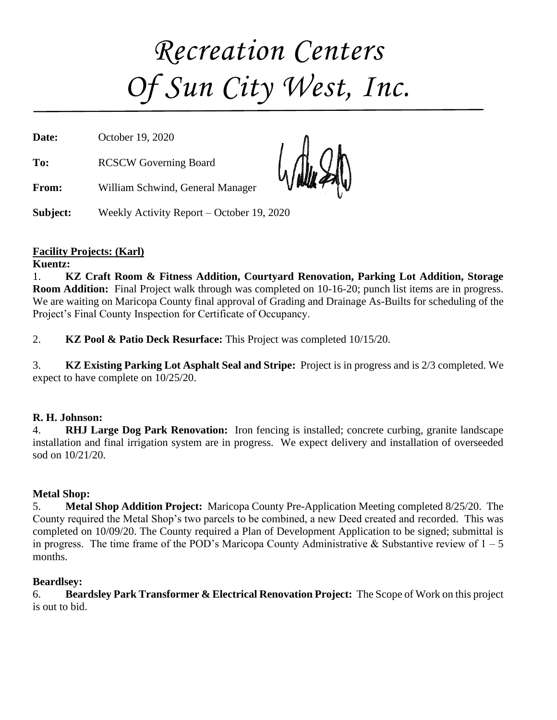# *Recreation Centers Of Sun City West, Inc.*

**Date:** October 19, 2020 **To:** RCSCW Governing Board **From:** William Schwind, General Manager

**Subject:** Weekly Activity Report – October 19, 2020

#### **Facility Projects: (Karl)**

**Kuentz:**

1. **KZ Craft Room & Fitness Addition, Courtyard Renovation, Parking Lot Addition, Storage Room Addition:** Final Project walk through was completed on 10-16-20; punch list items are in progress. We are waiting on Maricopa County final approval of Grading and Drainage As-Builts for scheduling of the Project's Final County Inspection for Certificate of Occupancy.

2. **KZ Pool & Patio Deck Resurface:** This Project was completed 10/15/20.

3. **KZ Existing Parking Lot Asphalt Seal and Stripe:** Project is in progress and is 2/3 completed. We expect to have complete on 10/25/20.

#### **R. H. Johnson:**

4. **RHJ Large Dog Park Renovation:** Iron fencing is installed; concrete curbing, granite landscape installation and final irrigation system are in progress. We expect delivery and installation of overseeded sod on 10/21/20.

#### **Metal Shop:**

5. **Metal Shop Addition Project:** Maricopa County Pre-Application Meeting completed 8/25/20. The County required the Metal Shop's two parcels to be combined, a new Deed created and recorded. This was completed on 10/09/20. The County required a Plan of Development Application to be signed; submittal is in progress. The time frame of the POD's Maricopa County Administrative & Substantive review of  $1 - 5$ months.

#### **Beardlsey:**

6. **Beardsley Park Transformer & Electrical Renovation Project:** The Scope of Work on this project is out to bid.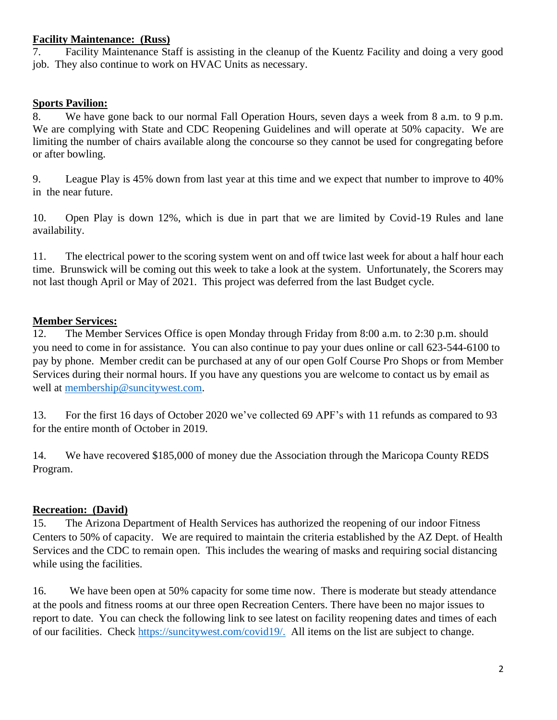#### **Facility Maintenance: (Russ)**

7. Facility Maintenance Staff is assisting in the cleanup of the Kuentz Facility and doing a very good job. They also continue to work on HVAC Units as necessary.

#### **Sports Pavilion:**

8. We have gone back to our normal Fall Operation Hours, seven days a week from 8 a.m. to 9 p.m. We are complying with State and CDC Reopening Guidelines and will operate at 50% capacity. We are limiting the number of chairs available along the concourse so they cannot be used for congregating before or after bowling.

9. League Play is 45% down from last year at this time and we expect that number to improve to 40% in the near future.

10. Open Play is down 12%, which is due in part that we are limited by Covid-19 Rules and lane availability.

11. The electrical power to the scoring system went on and off twice last week for about a half hour each time. Brunswick will be coming out this week to take a look at the system. Unfortunately, the Scorers may not last though April or May of 2021. This project was deferred from the last Budget cycle.

#### **Member Services:**

12. The Member Services Office is open Monday through Friday from 8:00 a.m. to 2:30 p.m. should you need to come in for assistance. You can also continue to pay your dues online or call 623-544-6100 to pay by phone. Member credit can be purchased at any of our open Golf Course Pro Shops or from Member Services during their normal hours. If you have any questions you are welcome to contact us by email as well at [membership@suncitywest.com.](mailto:membership@suncitywest.com)

13. For the first 16 days of October 2020 we've collected 69 APF's with 11 refunds as compared to 93 for the entire month of October in 2019.

14. We have recovered \$185,000 of money due the Association through the Maricopa County REDS Program.

#### **Recreation: (David)**

15. The Arizona Department of Health Services has authorized the reopening of our indoor Fitness Centers to 50% of capacity. We are required to maintain the criteria established by the AZ Dept. of Health Services and the CDC to remain open. This includes the wearing of masks and requiring social distancing while using the facilities.

16. We have been open at 50% capacity for some time now. There is moderate but steady attendance at the pools and fitness rooms at our three open Recreation Centers. There have been no major issues to report to date. You can check the following link to see latest on facility reopening dates and times of each of our facilities. Check [https://suncitywest.com/covid19/.](https://suncitywest.com/covid19/) All items on the list are subject to change.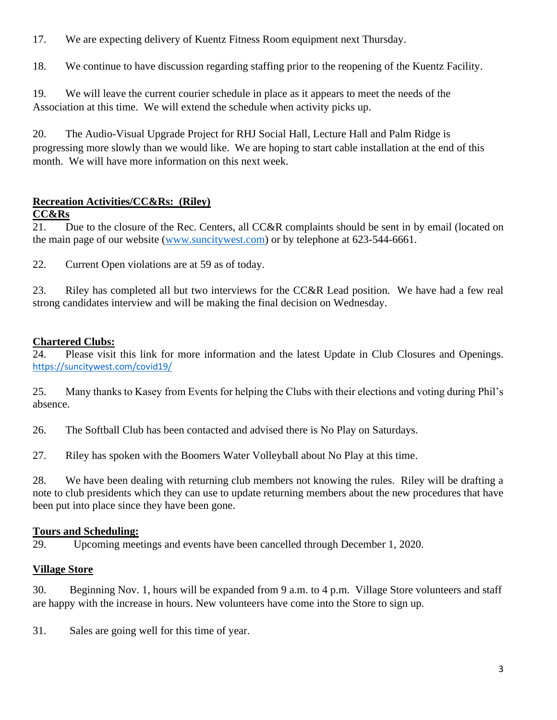17. We are expecting delivery of Kuentz Fitness Room equipment next Thursday.

18. We continue to have discussion regarding staffing prior to the reopening of the Kuentz Facility.

19. We will leave the current courier schedule in place as it appears to meet the needs of the Association at this time. We will extend the schedule when activity picks up.

20. The Audio-Visual Upgrade Project for RHJ Social Hall, Lecture Hall and Palm Ridge is progressing more slowly than we would like. We are hoping to start cable installation at the end of this month. We will have more information on this next week.

#### **Recreation Activities/CC&Rs: (Riley)**

#### **CC&Rs**

21. Due to the closure of the Rec. Centers, all CC&R complaints should be sent in by email (located on the main page of our website [\(www.suncitywest.com\)](http://www.suncitywest.com/) or by telephone at 623-544-6661.

22. Current Open violations are at 59 as of today.

23. Riley has completed all but two interviews for the CC&R Lead position. We have had a few real strong candidates interview and will be making the final decision on Wednesday.

#### **Chartered Clubs:**

24. Please visit this link for more information and the latest Update in Club Closures and Openings. <https://suncitywest.com/covid19/>

25. Many thanks to Kasey from Events for helping the Clubs with their elections and voting during Phil's absence.

26. The Softball Club has been contacted and advised there is No Play on Saturdays.

27. Riley has spoken with the Boomers Water Volleyball about No Play at this time.

28. We have been dealing with returning club members not knowing the rules. Riley will be drafting a note to club presidents which they can use to update returning members about the new procedures that have been put into place since they have been gone.

#### **Tours and Scheduling:**

29. Upcoming meetings and events have been cancelled through December 1, 2020.

#### **Village Store**

30. Beginning Nov. 1, hours will be expanded from 9 a.m. to 4 p.m. Village Store volunteers and staff are happy with the increase in hours. New volunteers have come into the Store to sign up.

31. Sales are going well for this time of year.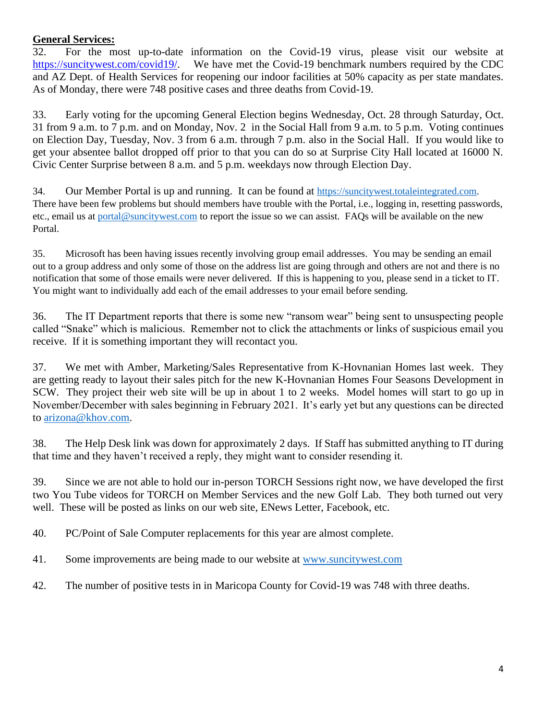#### **General Services:**

32. For the most up-to-date information on the Covid-19 virus, please visit our website at [https://suncitywest.com/covid19/.](https://suncitywest.com/covid19/) We have met the Covid-19 benchmark numbers required by the CDC and AZ Dept. of Health Services for reopening our indoor facilities at 50% capacity as per state mandates. As of Monday, there were 748 positive cases and three deaths from Covid-19.

33. Early voting for the upcoming General Election begins Wednesday, Oct. 28 through Saturday, Oct. 31 from 9 a.m. to 7 p.m. and on Monday, Nov. 2 in the Social Hall from 9 a.m. to 5 p.m. Voting continues on Election Day, Tuesday, Nov. 3 from 6 a.m. through 7 p.m. also in the Social Hall. If you would like to get your absentee ballot dropped off prior to that you can do so at Surprise City Hall located at 16000 N. Civic Center Surprise between 8 a.m. and 5 p.m. weekdays now through Election Day.

34. Our Member Portal is up and running. It can be found at [https://suncitywest.totaleintegrated.com.](https://suncitywest.totaleintegrated.com/) There have been few problems but should members have trouble with the Portal, i.e., logging in, resetting passwords, etc., email us at [portal@suncitywest.com](mailto:portal@suncitywest.com) to report the issue so we can assist. FAQs will be available on the new Portal.

35. Microsoft has been having issues recently involving group email addresses. You may be sending an email out to a group address and only some of those on the address list are going through and others are not and there is no notification that some of those emails were never delivered. If this is happening to you, please send in a ticket to IT. You might want to individually add each of the email addresses to your email before sending.

36. The IT Department reports that there is some new "ransom wear" being sent to unsuspecting people called "Snake" which is malicious. Remember not to click the attachments or links of suspicious email you receive. If it is something important they will recontact you.

37. We met with Amber, Marketing/Sales Representative from K-Hovnanian Homes last week. They are getting ready to layout their sales pitch for the new K-Hovnanian Homes Four Seasons Development in SCW. They project their web site will be up in about 1 to 2 weeks. Model homes will start to go up in November/December with sales beginning in February 2021. It's early yet but any questions can be directed to [arizona@khov.com.](mailto:arizona@khov.com)

38. The Help Desk link was down for approximately 2 days. If Staff has submitted anything to IT during that time and they haven't received a reply, they might want to consider resending it.

39. Since we are not able to hold our in-person TORCH Sessions right now, we have developed the first two You Tube videos for TORCH on Member Services and the new Golf Lab. They both turned out very well. These will be posted as links on our web site, ENews Letter, Facebook, etc.

40. PC/Point of Sale Computer replacements for this year are almost complete.

41. Some improvements are being made to our website at [www.suncitywest.com](http://www.suncitywest.com/)

42. The number of positive tests in in Maricopa County for Covid-19 was 748 with three deaths.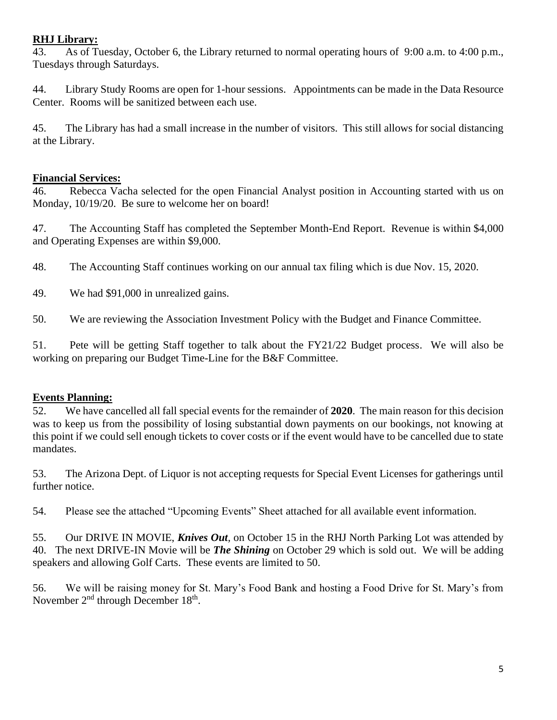#### **RHJ Library:**

43. As of Tuesday, October 6, the Library returned to normal operating hours of 9:00 a.m. to 4:00 p.m., Tuesdays through Saturdays.

44. Library Study Rooms are open for 1-hour sessions. Appointments can be made in the Data Resource Center. Rooms will be sanitized between each use.

45. The Library has had a small increase in the number of visitors. This still allows for social distancing at the Library.

#### **Financial Services:**

46. Rebecca Vacha selected for the open Financial Analyst position in Accounting started with us on Monday, 10/19/20. Be sure to welcome her on board!

47. The Accounting Staff has completed the September Month-End Report. Revenue is within \$4,000 and Operating Expenses are within \$9,000.

48. The Accounting Staff continues working on our annual tax filing which is due Nov. 15, 2020.

49. We had \$91,000 in unrealized gains.

50. We are reviewing the Association Investment Policy with the Budget and Finance Committee.

51. Pete will be getting Staff together to talk about the FY21/22 Budget process. We will also be working on preparing our Budget Time-Line for the B&F Committee.

#### **Events Planning:**

52. We have cancelled all fall special events for the remainder of **2020**. The main reason for this decision was to keep us from the possibility of losing substantial down payments on our bookings, not knowing at this point if we could sell enough tickets to cover costs or if the event would have to be cancelled due to state mandates.

53. The Arizona Dept. of Liquor is not accepting requests for Special Event Licenses for gatherings until further notice.

54. Please see the attached "Upcoming Events" Sheet attached for all available event information.

55. Our DRIVE IN MOVIE, *Knives Out,* on October 15 in the RHJ North Parking Lot was attended by 40. The next DRIVE-IN Movie will be *The Shining* on October 29 which is sold out. We will be adding speakers and allowing Golf Carts. These events are limited to 50.

56. We will be raising money for St. Mary's Food Bank and hosting a Food Drive for St. Mary's from November  $2<sup>nd</sup>$  through December 18<sup>th</sup>.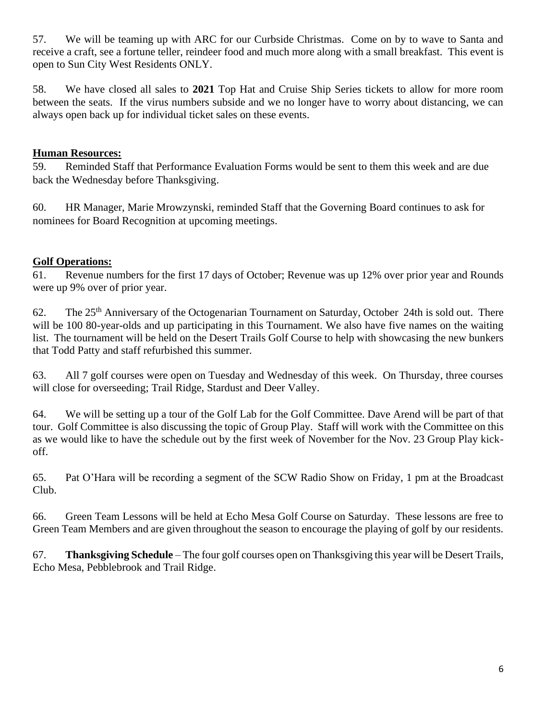57. We will be teaming up with ARC for our Curbside Christmas. Come on by to wave to Santa and receive a craft, see a fortune teller, reindeer food and much more along with a small breakfast. This event is open to Sun City West Residents ONLY.

58. We have closed all sales to **2021** Top Hat and Cruise Ship Series tickets to allow for more room between the seats. If the virus numbers subside and we no longer have to worry about distancing, we can always open back up for individual ticket sales on these events.

#### **Human Resources:**

59. Reminded Staff that Performance Evaluation Forms would be sent to them this week and are due back the Wednesday before Thanksgiving.

60. HR Manager, Marie Mrowzynski, reminded Staff that the Governing Board continues to ask for nominees for Board Recognition at upcoming meetings.

#### **Golf Operations:**

61. Revenue numbers for the first 17 days of October; Revenue was up 12% over prior year and Rounds were up 9% over of prior year.

62. The 25th Anniversary of the Octogenarian Tournament on Saturday, October 24th is sold out. There will be 100 80-year-olds and up participating in this Tournament. We also have five names on the waiting list. The tournament will be held on the Desert Trails Golf Course to help with showcasing the new bunkers that Todd Patty and staff refurbished this summer.

63. All 7 golf courses were open on Tuesday and Wednesday of this week. On Thursday, three courses will close for overseeding; Trail Ridge, Stardust and Deer Valley.

64. We will be setting up a tour of the Golf Lab for the Golf Committee. Dave Arend will be part of that tour. Golf Committee is also discussing the topic of Group Play. Staff will work with the Committee on this as we would like to have the schedule out by the first week of November for the Nov. 23 Group Play kickoff.

65. Pat O'Hara will be recording a segment of the SCW Radio Show on Friday, 1 pm at the Broadcast Club.

66. Green Team Lessons will be held at Echo Mesa Golf Course on Saturday. These lessons are free to Green Team Members and are given throughout the season to encourage the playing of golf by our residents.

67. **Thanksgiving Schedule** – The four golf courses open on Thanksgiving this year will be Desert Trails, Echo Mesa, Pebblebrook and Trail Ridge.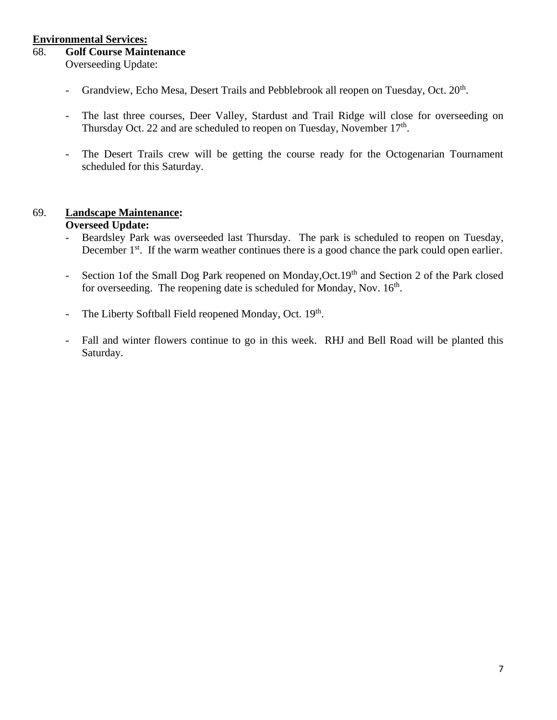#### **Environmental Services:**

#### 68. **Golf Course Maintenance**

Overseeding Update:

- Grandview, Echo Mesa, Desert Trails and Pebblebrook all reopen on Tuesday, Oct. 20<sup>th</sup>.
- The last three courses, Deer Valley, Stardust and Trail Ridge will close for overseeding on Thursday Oct. 22 and are scheduled to reopen on Tuesday, November 17<sup>th</sup>.
- The Desert Trails crew will be getting the course ready for the Octogenarian Tournament scheduled for this Saturday.

## 69. **Landscape Maintenance:**

#### **Overseed Update:**

- Beardsley Park was overseeded last Thursday. The park is scheduled to reopen on Tuesday, December  $1<sup>st</sup>$ . If the warm weather continues there is a good chance the park could open earlier.
- Section 1of the Small Dog Park reopened on Monday, Oct. 19<sup>th</sup> and Section 2 of the Park closed for overseeding. The reopening date is scheduled for Monday, Nov.  $16<sup>th</sup>$ .
- The Liberty Softball Field reopened Monday, Oct. 19th.
- Fall and winter flowers continue to go in this week. RHJ and Bell Road will be planted this Saturday.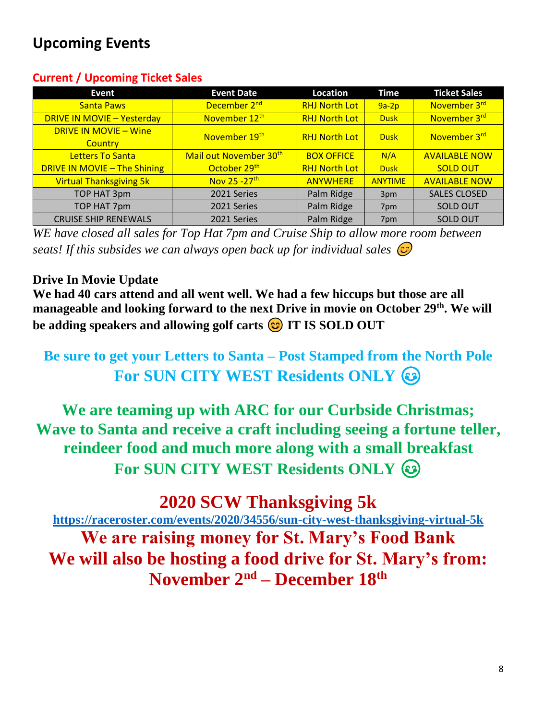## **Upcoming Events**

#### **Current / Upcoming Ticket Sales**

| Event                                   | <b>Event Date</b>                  | Location             | Time           | <b>Ticket Sales</b>  |
|-----------------------------------------|------------------------------------|----------------------|----------------|----------------------|
| <b>Santa Paws</b>                       | December 2 <sup>nd</sup>           | <b>RHJ North Lot</b> | $9a-2p$        | November 3rd         |
| <b>DRIVE IN MOVIE - Yesterday</b>       | November 12 <sup>th</sup>          | <b>RHJ North Lot</b> | <b>Dusk</b>    | November 3rd         |
| <b>DRIVE IN MOVIE - Wine</b><br>Country | November 19th                      | <b>RHJ North Lot</b> | <b>Dusk</b>    | November 3rd         |
| <b>Letters To Santa</b>                 | Mail out November 30 <sup>th</sup> | <b>BOX OFFICE</b>    | N/A            | <b>AVAILABLE NOW</b> |
| <b>DRIVE IN MOVIE - The Shining</b>     | October 29th                       | <b>RHJ North Lot</b> | <b>Dusk</b>    | <b>SOLD OUT</b>      |
| <b>Virtual Thanksgiving 5k</b>          | Nov 25 - 27 <sup>th</sup>          | <b>ANYWHERE</b>      | <b>ANYTIME</b> | <b>AVAILABLE NOW</b> |
| TOP HAT 3pm                             | 2021 Series                        | Palm Ridge           | 3pm            | <b>SALES CLOSED</b>  |
| TOP HAT 7pm                             | 2021 Series                        | Palm Ridge           | 7pm            | <b>SOLD OUT</b>      |
| <b>CRUISE SHIP RENEWALS</b>             | 2021 Series                        | Palm Ridge           | 7pm            | <b>SOLD OUT</b>      |

*WE have closed all sales for Top Hat 7pm and Cruise Ship to allow more room between seats! If this subsides we can always open back up for individual sales* 

#### **Drive In Movie Update**

**We had 40 cars attend and all went well. We had a few hiccups but those are all manageable and looking forward to the next Drive in movie on October 29th. We will be adding speakers and allowing golf carts**  $\odot$  **IT IS SOLD OUT** 

## **Be sure to get your Letters to Santa – Post Stamped from the North Pole For SUN CITY WEST Residents ONLY**

**We are teaming up with ARC for our Curbside Christmas; Wave to Santa and receive a craft including seeing a fortune teller, reindeer food and much more along with a small breakfast For SUN CITY WEST Residents ONLY**  $\textcircled{\tiny{}}$ 

**2020 SCW Thanksgiving 5k**

**<https://raceroster.com/events/2020/34556/sun-city-west-thanksgiving-virtual-5k> We are raising money for St. Mary's Food Bank**

**We will also be hosting a food drive for St. Mary's from: November 2nd – December 18th**